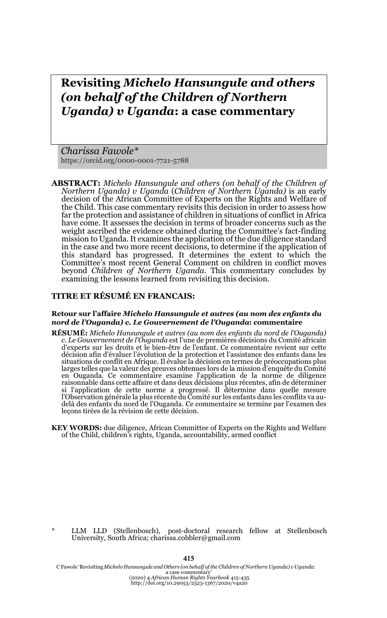# **Revisiting** *Michelo Hansungule and others (on behalf of the Children of Northern Uganda) v Uganda***: a case commentary**

*Charissa Fawole\** https://orcid.org/0000-0001-7721-5788

**ABSTRACT:** *Michelo Hansungule and others (on behalf of the Children of Northern Uganda) v Uganda* (*Children of Northern Uganda)* is an early decision of the African Committee of Experts on the Rights and Welfare of the Child. This case commentary revisits this decision in order to assess how far the protection and assistance of children in situations of conflict in Africa have come. It assesses the decision in terms of broader concerns such as the weight ascribed the evidence obtained during the Committee's fact-finding mission to Uganda. It examines the application of the due diligence standard in the case and two more recent decisions, to determine if the application of this standard has progressed. It determines the extent to which the Committee's most recent General Comment on children in conflict moves beyond *Children of Northern Uganda.* This commentary concludes by examining the lessons learned from revisiting this decision.

### **TITRE ET RÉSUMÉ EN FRANCAIS:**

#### **Retour sur l'affaire** *Michelo Hansungule et autres (au nom des enfants du nord de l'Ouganda) c. Le Gouvernement de l'Ouganda***: commentaire**

- **RÉSUMÉ:** *Michelo Hansungule et autres (au nom des enfants du nord de l'Ouganda) c. Le Gouvernement de l'Ouganda* est l'une de premières décisions du Comité africain d'experts sur les droits et le bien-être de l'enfant. Ce commentaire revient sur cette décision afin d'évaluer l'évolution de la protection et l'assistance des enfants dans les situations de conflit en Afrique. Il évalue la décision en termes de préoccupations plus larges telles que la valeur des preuves obtenues lors de la mission d'enquête du Comité en Ouganda. Ce commentaire examine l'application de la norme de diligence raisonnable dans cette affaire et dans deux décisions plus récentes, afin de déterminer si l'application de cette norme a progressé. Il détermine dans quelle mesure l'Observation générale la plus récente du Comité sur les enfants dans les conflits va audelà des enfants du nord de l'Ouganda. Ce commentaire se termine par l'examen des leçons tirées de la révision de cette décision.
- **KEY WORDS:** due diligence, African Committee of Experts on the Rights and Welfare of the Child, children's rights, Uganda, accountability, armed conflict

\* LLM LLD (Stellenbosch), post-doctoral research fellow at Stellenbosch University, South Africa; charissa.cobbler@gmail.com

C Fawole 'Revisiting *Michelo Hansungule and Others (on behalf of the Children of Northern Uganda) v Uganda*: a case commentary' (2020) 4 *African Human Rights Yearbook* 415-435 http://doi.org/10.29053/2523-1367/2020/v4a20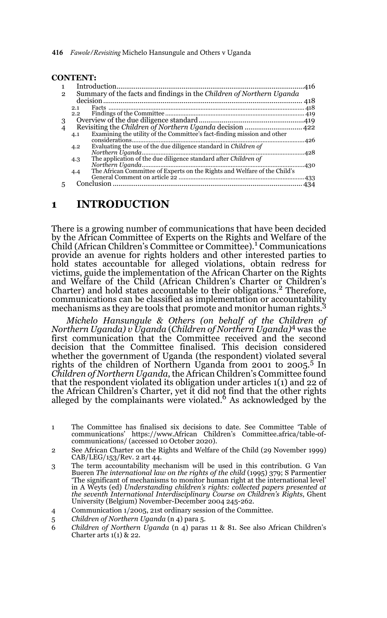|              | <b>CONTENT:</b>                                                                  |
|--------------|----------------------------------------------------------------------------------|
|              |                                                                                  |
| $\mathbf{2}$ | Summary of the facts and findings in the Children of Northern Uganda             |
|              |                                                                                  |
|              | 2.1                                                                              |
|              | $2.2^{\circ}$                                                                    |
| 3            |                                                                                  |
| 4            |                                                                                  |
|              | Examining the utility of the Committee's fact-finding mission and other<br>4.1   |
|              |                                                                                  |
|              | Evaluating the use of the due diligence standard in Children of<br>4.2           |
|              |                                                                                  |
|              | The application of the due diligence standard after <i>Children of</i><br>4.3    |
|              |                                                                                  |
|              | The African Committee of Experts on the Rights and Welfare of the Child's<br>4.4 |
|              |                                                                                  |
|              |                                                                                  |

### **1 INTRODUCTION**

There is a growing number of communications that have been decided by the African Committee of Experts on the Rights and Welfare of the Child (African Children's Committee or Committee).<sup>1</sup> Communications provide an avenue for rights holders and other interested parties to hold states accountable for alleged violations, obtain redress for victims, guide the implementation of the African Charter on the Rights and Welfare of the Child (African Children's Charter or Children's Charter) and hold states accountable to their obligations.2 Therefore, communications can be classified as implementation or accountability mechanisms as they are tools that promote and monitor human rights.<sup>3</sup>

*Michelo Hansungule & Others (on behalf of the Children of Northern Uganda) v Uganda* (*Children of Northern Uganda)*4 was the first communication that the Committee received and the second decision that the Committee finalised. This decision considered whether the government of Uganda (the respondent) violated several rights of the children of Northern Uganda from 2001 to 2005.5 In *Children of Northern Uganda*, the African Children's Committee found that the respondent violated its obligation under articles 1(1) and 22 of the African Children's Charter, yet it did not find that the other rights<br>alleged by the complainants were violated.<sup>6</sup> As acknowledged by the

- 1 The Committee has finalised six decisions to date. See Committee 'Table of communications' https://www.African Children's Committee.africa/table-ofcommunications/ (accessed 10 October 2020).
- 2 See African Charter on the Rights and Welfare of the Child (29 November 1999) CAB/LEG/153/Rev. 2 art 44.
- 3 The term accountability mechanism will be used in this contribution. G Van Bueren *The international law on the rights of the child* (1995) 379; S Parmentier 'The significant of mechanisms to monitor human right at the international level' in A Weyts (ed) *Understanding children's rights: collected papers presented at the seventh International Interdisciplinary Course on Children's Rights*, Ghent University (Belgium) November-December 2004 245-262.
- 4 Communication 1/2005, 21st ordinary session of the Committee.
- 5 *Children of Northern Uganda* (n 4) para 5.
- 6 *Children of Northern Uganda* (n 4) paras 11 & 81. See also African Children's Charter arts  $1(1)$  & 22.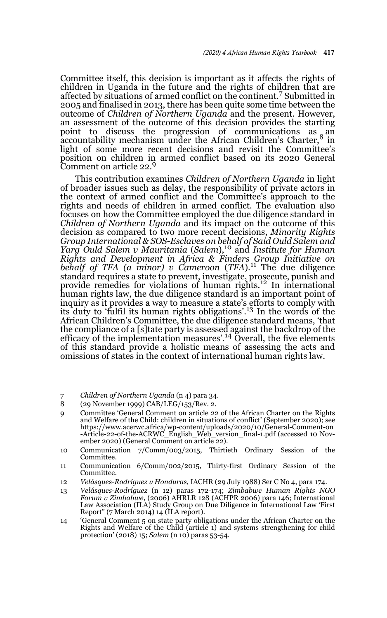Committee itself, this decision is important as it affects the rights of children in Uganda in the future and the rights of children that are affected by situations of armed conflict on the continent.7 Submitted in 2005 and finalised in 2013, there has been quite some time between the outcome of *Children of Northern Uganda* and the present. However, an assessment of the outcome of this decision provides the starting point to discuss the progression of communications as an accountability mechanism under the African Children's Charter,8 in light of some more recent decisions and revisit the Committee's position on children in armed conflict based on its 2020 General Comment on article 22.<sup>9</sup>

This contribution examines *Children of Northern Uganda* in light of broader issues such as delay, the responsibility of private actors in the context of armed conflict and the Committee's approach to the rights and needs of children in armed conflict. The evaluation also focuses on how the Committee employed the due diligence standard in *Children of Northern Uganda* and its impact on the outcome of this decision as compared to two more recent decisions, *Minority Rights Group International & SOS-Esclaves on behalf of Said Ould Salem and Yarg Ould Salem v Mauritania* (*Salem*),10 and *Institute for Human Rights and Development in Africa & Finders Group Initiative on behalf of TFA (a minor) v Cameroon* (*TFA*).11 The due diligence standard requires a state to prevent, investigate, prosecute, punish and provide remedies for violations of human rights.12 In international human rights law, the due diligence standard is an important point of inquiry as it provides a way to measure a state's efforts to comply with its duty to 'fulfil its human rights obligations'.13 In the words of the African Children's Committee, the due diligence standard means, 'that the compliance of a [s]tate party is assessed against the backdrop of the efficacy of the implementation measures'.14 Overall, the five elements of this standard provide a holistic means of assessing the acts and omissions of states in the context of international human rights law.

- 7 *Children of Northern Uganda* (n 4) para 34.
- 8 (29 November 1999) CAB/LEG/153/Rev. 2.
- 9 Committee 'General Comment on article 22 of the African Charter on the Rights and Welfare of the Child: children in situations of conflict' (September 2020); see https://www.acerwc.africa/wp-content/uploads/2020/10/General-Comment-on -Article-22-of-the-ACRWC\_English\_Web\_version\_final-1.pdf (accessed 10 November 2020) (General Comment on article 22).
- 10 Communication 7/Comm/003/2015, Thirtieth Ordinary Session of the Committee.
- 11 Communication 6/Comm/002/2015, Thirty-first Ordinary Session of the Committee.
- 12 *Velásques-Rodríguez v Honduras,* IACHR (29 July 1988) Ser C No 4, para 174.
- 13 *Velásques-Rodríguez* (n 12) paras 172-174; *Zimbabwe Human Rights NGO Forum v Zimbabwe*, (2006) AHRLR 128 (ACHPR 2006) para 146; International Law Association (ILA) Study Group on Due Diligence in International Law 'First Report" (7 March 2014) 14 (ILA report).
- 14 'General Comment 5 on state party obligations under the African Charter on the Rights and Welfare of the Child (article 1) and systems strengthening for child protection' (2018) 15; *Salem* (n 10) paras 53-54.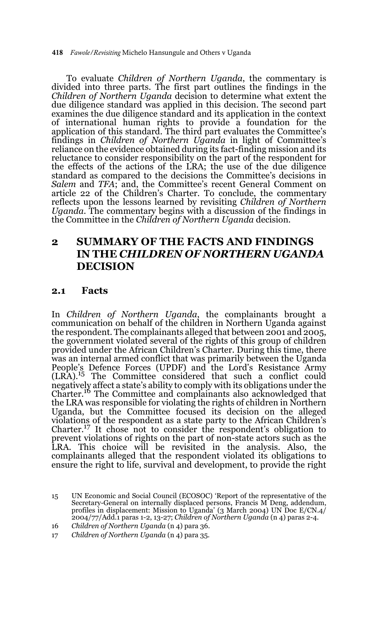418 *Fawole/Revisiting* Michelo Hansungule and Others v Uganda

To evaluate *Children of Northern Uganda*, the commentary is divided into three parts. The first part outlines the findings in the *Children of Northern Uganda* decision to determine what extent the due diligence standard was applied in this decision. The second part examines the due diligence standard and its application in the context of international human rights to provide a foundation for the application of this standard. The third part evaluates the Committee's findings in *Children of Northern Uganda* in light of Committee's reliance on the evidence obtained during its fact-finding mission and its reluctance to consider responsibility on the part of the respondent for the effects of the actions of the LRA; the use of the due diligence standard as compared to the decisions the Committee's decisions in *Salem* and *TFA*; and, the Committee's recent General Comment on article 22 of the Children's Charter. To conclude, the commentary reflects upon the lessons learned by revisiting *Children of Northern Uganda*. The commentary begins with a discussion of the findings in the Committee in the *Children of Northern Uganda* decision.

# **2 SUMMARY OF THE FACTS AND FINDINGS IN THE** *CHILDREN OF NORTHERN UGANDA*  **DECISION**

#### **2.1 Facts**

In *Children of Northern Uganda*, the complainants brought a communication on behalf of the children in Northern Uganda against the respondent. The complainants alleged that between 2001 and 2005, the government violated several of the rights of this group of children provided under the African Children's Charter. During this time, there was an internal armed conflict that was primarily between the Uganda People's Defence Forces (UPDF) and the Lord's Resistance Army<br>(LRA).<sup>15</sup> The Committee considered that such a conflict could negatively affect a state's ability to comply with its obligations under the Charter.16 The Committee and complainants also acknowledged that the LRA was responsible for violating the rights of children in Northern Uganda, but the Committee focused its decision on the alleged violations of the respondent as a state party to the African Children's Charter.<sup>17</sup> It chose not to consider the respondent's obligation to prevent violations of rights on the part of non-state actors such as the LRA. This choice will be revisited in the analysis. Also, the complainants alleged that the respondent violated its obligations to ensure the right to life, survival and development, to provide the right

<sup>15</sup> UN Economic and Social Council (ECOSOC) 'Report of the representative of the Secretary-General on internally displaced persons, Francis M Deng, addendum,<br>profiles in displacement: Mission to Uganda' (3 March 2004) UN Doc E/CN.4/<br>2004/77/Add.1 paras 1-2, 13-27; Children of Northern Uganda (n 4) para

<sup>16</sup> *Children of Northern Uganda* (n 4) para 36.

<sup>17</sup> *Children of Northern Uganda* (n 4) para 35.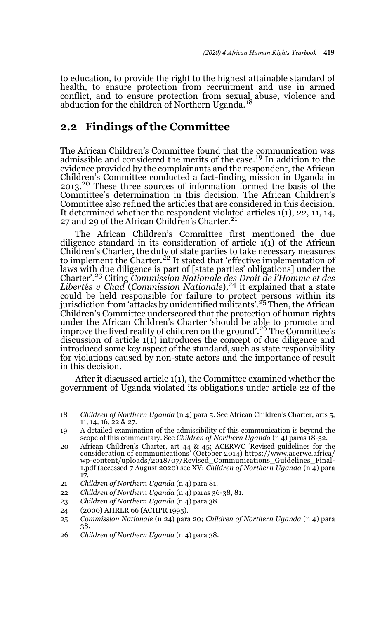to education, to provide the right to the highest attainable standard of health, to ensure protection from recruitment and use in armed conflict, and to ensure protection from sexual abuse, violence and abduction for the children of Northern Uganda.<sup>18</sup>

# **2.2 Findings of the Committee**

The African Children's Committee found that the communication was admissible and considered the merits of the case.19 In addition to the evidence provided by the complainants and the respondent, the African Children's Committee conducted a fact-finding mission in Uganda in 2013.<sup>20</sup> These three sources of information formed the basis of the Committee's determination in this decision. The African Children's Committee also refined the articles that are considered in this decision. It determined whether the respondent violated articles 1(1), 22, 11, 14, 27 and 29 of the African Children's Charter.<sup>21</sup>

The African Children's Committee first mentioned the due diligence standard in its consideration of article 1(1) of the African Children's Charter, the duty of state parties to take necessary measures<br>to implement the Charter.<sup>22</sup> It stated that 'effective implementation of laws with due diligence is part of [state parties' obligations] under the Charter'.23 Citing *Commission Nationale des Droit de l'Homme et des Libertés v Chad* (*Commission Nationale*),<sup>24</sup> it explained that a state could be held responsible for failure to protect persons within its<br>jurisdiction from 'attacks by unidentified militants'.<sup>25</sup> Then, the African Children's Committee underscored that the protection of human rights under the African Children's Charter 'should be able to promote and improve the lived reality of children on the ground'.26 The Committee's discussion of article 1(1) introduces the concept of due diligence and introduced some key aspect of the standard, such as state responsibility for violations caused by non-state actors and the importance of result in this decision.

After it discussed article 1(1), the Committee examined whether the government of Uganda violated its obligations under article 22 of the

- 21 *Children of Northern Uganda* (n 4) para 81.
- 22 *Children of Northern Uganda* (n 4) paras 36-38, 81.
- 23 *Children of Northern Uganda* (n 4) para 38.
- 24 (2000) AHRLR 66 (ACHPR 1995).
- 25 *Commission Nationale* (n 24) para 20*; Children of Northern Uganda* (n 4) para 38.
- 26 *Children of Northern Uganda* (n 4) para 38.

<sup>18</sup> *Children of Northern Uganda* (n 4) para 5. See African Children's Charter, arts 5, 11, 14, 16, 22 & 27.

<sup>19</sup> A detailed examination of the admissibility of this communication is beyond the scope of this commentary. See *Children of Northern Uganda* (n 4) paras 18-32.

<sup>20</sup> African Children's Charter, art 44 & 45; ACERWC 'Revised guidelines for the consideration of communications' (October 2014) https://www.acerwc.africa/ wp-content/uploads/2018/07/Revised\_Communications\_Guidelines\_Final-1.pdf (accessed 7 August 2020) sec XV; *Children of Northern Uganda* (n 4) para 17.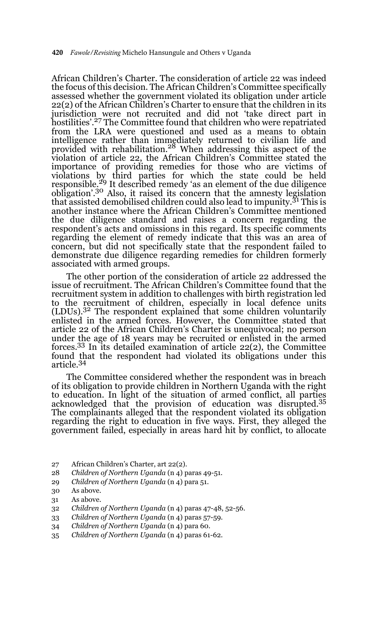African Children's Charter. The consideration of article 22 was indeed the focus of this decision. The African Children's Committee specifically assessed whether the government violated its obligation under article 22(2) of the African Children's Charter to ensure that the children in its jurisdiction were not recruited and did not 'take direct part in hostilities'.27 The Committee found that children who were repatriated from the LRA were questioned and used as a means to obtain intelligence rather than immediately returned to civilian life and provided with rehabilitation.28 When addressing this aspect of the violation of article 22, the African Children's Committee stated the importance of providing remedies for those who are victims of violations by third parties for which the state could be held responsible.29 It described remedy 'as an element of the due diligence obligation'.30 Also, it raised its concern that the amnesty legislation that assisted demobilised children could also lead to impunity.<sup>31</sup> This is another instance where the African Children's Committee mentioned the due diligence standard and raises a concern regarding the respondent's acts and omissions in this regard. Its specific comments regarding the element of remedy indicate that this was an area of concern, but did not specifically state that the respondent failed to demonstrate due diligence regarding remedies for children formerly associated with armed groups.

The other portion of the consideration of article 22 addressed the issue of recruitment. The African Children's Committee found that the recruitment system in addition to challenges with birth registration led to the recruitment of children, especially in local defence units (LDUs).32 The respondent explained that some children voluntarily enlisted in the armed forces. However, the Committee stated that article 22 of the African Children's Charter is unequivocal; no person under the age of 18 years may be recruited or enlisted in the armed forces.33 In its detailed examination of article 22(2), the Committee found that the respondent had violated its obligations under this article.34

The Committee considered whether the respondent was in breach of its obligation to provide children in Northern Uganda with the right to education. In light of the situation of armed conflict, all parties acknowledged that the provision of education was disrupted.35 The complainants alleged that the respondent violated its obligation regarding the right to education in five ways. First, they alleged the government failed, especially in areas hard hit by conflict, to allocate

- 27 African Children's Charter, art 22(2).
- 28 *Children of Northern Uganda* (n 4) paras 49-51.
- 29 *Children of Northern Uganda* (n 4) para 51.
- 30 As above.
- 31 As above.
- 32 *Children of Northern Uganda* (n 4) paras 47-48, 52-56.
- 33 *Children of Northern Uganda* (n 4) paras 57-59.
- 34 *Children of Northern Uganda* (n 4) para 60.
- 35 *Children of Northern Uganda* (n 4) paras 61-62.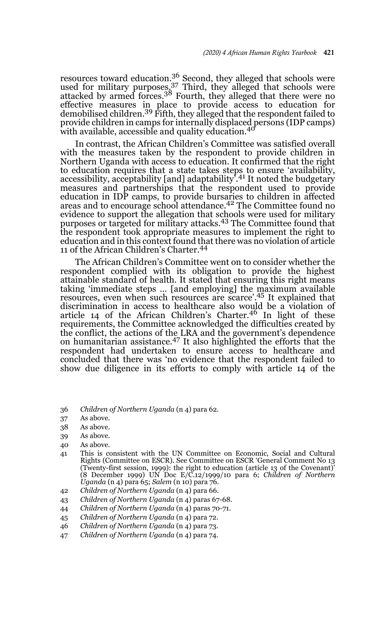resources toward education.<sup>36</sup> Second, they alleged that schools were  $\frac{1}{2}$  used for military purposes,  $37$  Third, they alleged that schools were attacked by armed forces.<sup>38</sup> Fourth, they alleged that there were no effective measures in place to provide access to education for<br>demobilised children.<sup>39</sup> Fifth, they alleged that the respondent failed to provide children in camps for internally displaced persons (IDP camps) with available, accessible and quality education.<sup>40</sup>

In contrast, the African Children's Committee was satisfied overall with the measures taken by the respondent to provide children in Northern Uganda with access to education. It confirmed that the right to education requires that a state takes steps to ensure 'availability, accessibility, acceptability [and] adaptability'.41 It noted the budgetary measures and partnerships that the respondent used to provide education in IDP camps, to provide bursaries to children in affected areas and to encourage school attendance.42 The Committee found no evidence to support the allegation that schools were used for military purposes or targeted for military attacks.43 The Committee found that the respondent took appropriate measures to implement the right to education and in this context found that there was no violation of article 11 of the African Children's Charter.<sup>44</sup>

The African Children's Committee went on to consider whether the respondent complied with its obligation to provide the highest attainable standard of health. It stated that ensuring this right means taking 'immediate steps … [and employing] the maximum available resources, even when such resources are scarce'.45 It explained that discrimination in access to healthcare also would be a violation of article 14 of the African Children's Charter.46 In light of these requirements, the Committee acknowledged the difficulties created by the conflict, the actions of the LRA and the government's dependence<br>on humanitarian assistance.<sup>47</sup> It also highlighted the efforts that the respondent had undertaken to ensure access to healthcare and concluded that there was 'no evidence that the respondent failed to show due diligence in its efforts to comply with article 14 of the

36 *Children of Northern Uganda* (n 4) para 62.

- 38 As above.
- 39 As above.
- 40 As above.
- 41 This is consistent with the UN Committee on Economic, Social and Cultural Rights (Committee on ESCR). See Committee on ESCR 'General Comment No 13 (Twenty-first session, 1999): the right to education (article 13 of the Covenant)' (8 December 1999) UN Doc E/C.12/1999/10 para 6; *Children of Northern Uganda* (n 4) para 65; *Salem* (n 10) para 76.
- 42 *Children of Northern Uganda* (n 4) para 66.
- 43 *Children of Northern Uganda* (n 4) paras 67-68.
- 44 *Children of Northern Uganda* (n 4) paras 70-71.
- 45 *Children of Northern Uganda* (n 4) para 72.
- 46 *Children of Northern Uganda* (n 4) para 73.
- 47 *Children of Northern Uganda* (n 4) para 74.

<sup>37</sup> As above.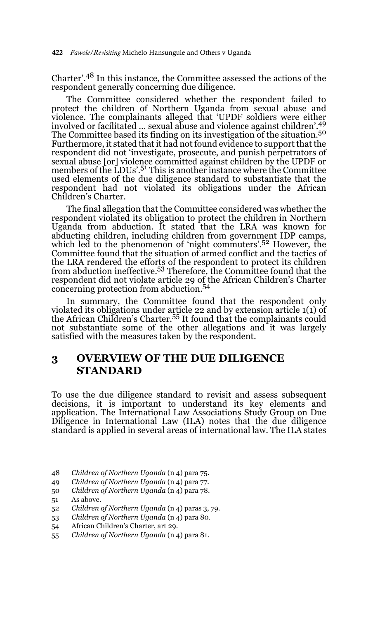Charter'.48 In this instance, the Committee assessed the actions of the respondent generally concerning due diligence.

The Committee considered whether the respondent failed to protect the children of Northern Uganda from sexual abuse and violence. The complainants alleged that 'UPDF soldiers were either involved or facilitated … sexual abuse and violence against children'.49 The Committee based its finding on its investigation of the situation.<sup>50</sup> Furthermore, it stated that it had not found evidence to support that the respondent did not 'investigate, prosecute, and punish perpetrators of sexual abuse [or] violence committed against children by the UPDF or members of the LDUs'.<sup>51</sup> This is another instance where the Committee used elements of the due diligence standard to substantiate that the respondent had not violated its obligations under the African Children's Charter.

The final allegation that the Committee considered was whether the respondent violated its obligation to protect the children in Northern Uganda from abduction. It stated that the LRA was known for abducting children, including children from government IDP camps, which led to the phenomenon of 'night commuters'.<sup>52</sup> However, the Committee found that the situation of armed conflict and the tactics of the LRA rendered the efforts of the respondent to protect its children<br>from abduction ineffective.<sup>53</sup> Therefore, the Committee found that the respondent did not violate article 29 of the African Children's Charter concerning protection from abduction.54

In summary, the Committee found that the respondent only violated its obligations under article 22 and by extension article 1(1) of the African Children's Charter.55 It found that the complainants could not substantiate some of the other allegations and it was largely satisfied with the measures taken by the respondent.

# **3 OVERVIEW OF THE DUE DILIGENCE STANDARD**

To use the due diligence standard to revisit and assess subsequent decisions, it is important to understand its key elements and application. The International Law Associations Study Group on Due Diligence in International Law (ILA) notes that the due diligence standard is applied in several areas of international law. The ILA states

- 48 *Children of Northern Uganda* (n 4) para 75.
- 49 *Children of Northern Uganda* (n 4) para 77.
- 50 *Children of Northern Uganda* (n 4) para 78.
- 51 As above.
- 52 *Children of Northern Uganda* (n 4) paras 3, 79.
- 53 *Children of Northern Uganda* (n 4) para 80.
- 54 African Children's Charter, art 29.
- 55 *Children of Northern Uganda* (n 4) para 81.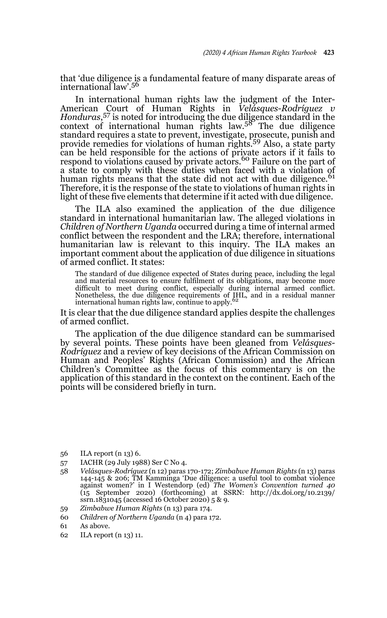that 'due diligence is a fundamental feature of many disparate areas of international law'.<sup>56</sup>

In international human rights law the judgment of the Inter-American Court of Human Rights in *Velásques-Rodríguez v Honduras*, 57 is noted for introducing the due diligence standard in the context of international human rights  $law<sup>58</sup>$ . The due diligence standard requires a state to prevent, investigate, prosecute, punish and<br>provide remedies for violations of human rights.<sup>59</sup> Also, a state party can be held responsible for the actions of private actors if it fails to respond to violations caused by private actors.<sup>60</sup> Failure on the part of a state to comply with these duties when faced with a violation of human rights means that the state did not act with due diligence.<sup>61</sup> Therefore, it is the response of the state to violations of human rights in light of these five elements that determine if it acted with due diligence.

The ILA also examined the application of the due diligence standard in international humanitarian law. The alleged violations in *Children of Northern Uganda* occurred during a time of internal armed conflict between the respondent and the LRA; therefore, international humanitarian law is relevant to this inquiry. The ILA makes an important comment about the application of due diligence in situations of armed conflict. It states:

The standard of due diligence expected of States during peace, including the legal and material resources to ensure fulfilment of its obligations, may become more difficult to meet during conflict, especially during internal armed conflict.<br>Nonetheless, the due diligence requirements of IHL, and in a residual manner<br>international human rights law, continue to apply.<sup>62</sup>

It is clear that the due diligence standard applies despite the challenges of armed conflict.

The application of the due diligence standard can be summarised by several points. These points have been gleaned from *Velásques-Rodríguez* and a review of key decisions of the African Commission on Human and Peoples' Rights (African Commission) and the African Children's Committee as the focus of this commentary is on the application of this standard in the context on the continent. Each of the points will be considered briefly in turn.

- 56 ILA report (n 13) 6.
- 57 IACHR (29 July 1988) Ser C No 4.
- 58 *Velásques-Rodríguez* (n 12) paras 170-172; *Zimbabwe Human Rights* (n 13) paras 144-145 & 206; TM Kamminga 'Due diligence: a useful tool to combat violence against women?' in I Westendorp (ed) *The Women's Convention turned 40* (15 September 2020) (forthcoming) at SSRN: http://dx.doi.org/10.2139/ ssrn.1831045 (accessed 16 October 2020) 5 & 9.
- 59 *Zimbabwe Human Rights* (n 13) para 174.
- 60 *Children of Northern Uganda* (n 4) para 172.

62 ILA report (n 13) 11.

<sup>61</sup> As above.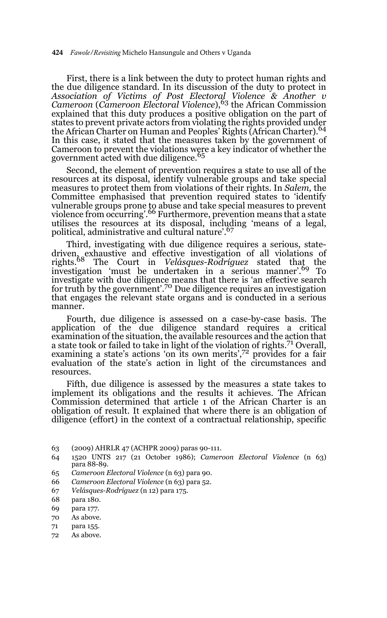First, there is a link between the duty to protect human rights and the due diligence standard. In its discussion of the duty to protect in *Association of Victims of Post Electoral Violence & Another v Cameroon* (*Cameroon Electoral Violence*),63 the African Commission explained that this duty produces a positive obligation on the part of states to prevent private actors from violating the rights provided under the African Charter on Human and Peoples' Rights (African Charter).<sup>64</sup> In this case, it stated that the measures taken by the government of Cameroon to prevent the violations were a key indicator of whether the government acted with due diligence.<sup>65</sup>

Second, the element of prevention requires a state to use all of the resources at its disposal, identify vulnerable groups and take special measures to protect them from violations of their rights. In *Salem,* the Committee emphasised that prevention required states to 'identify vulnerable groups prone to abuse and take special measures to prevent<br>violence from occurring'.<sup>66</sup> Furthermore, prevention means that a state utilises the resources at its disposal, including 'means of a legal, political, administrative and cultural nature'.<sup>67</sup>

Third, investigating with due diligence requires a serious, statedriven, exhaustive and effective investigation of all violations of rights.68 The Court in *Velásques-Rodríguez* stated that the investigation 'must be undertaken in a serious manner'.69 To investigate with due diligence means that there is 'an effective search for truth by the government'.70 Due diligence requires an investigation that engages the relevant state organs and is conducted in a serious manner.

Fourth, due diligence is assessed on a case-by-case basis. The application of the due diligence standard requires a critical examination of the situation, the available resources and the action that a state took or failed to take in light of the violation of rights.71 Overall, examining a state's actions 'on its own merits',<sup>72</sup> provides for a fair evaluation of the state's action in light of the circumstances and resources.

Fifth, due diligence is assessed by the measures a state takes to implement its obligations and the results it achieves. The African Commission determined that article 1 of the African Charter is an obligation of result. It explained that where there is an obligation of diligence (effort) in the context of a contractual relationship, specific

- 65 *Cameroon Electoral Violence* (n 63) para 90.
- 66 *Cameroon Electoral Violence* (n 63) para 52.
- 67 *Velásques-Rodríguez* (n 12) para 175.
- 68 para 180.
- 69 para 177.
- 70 As above.
- 71 para 155.
- 72 As above.

<sup>63 (2009)</sup> AHRLR 47 (ACHPR 2009) paras 90-111.

<sup>64 1520</sup> UNTS 217 (21 October 1986); *Cameroon Electoral Violence* (n 63) para 88-89.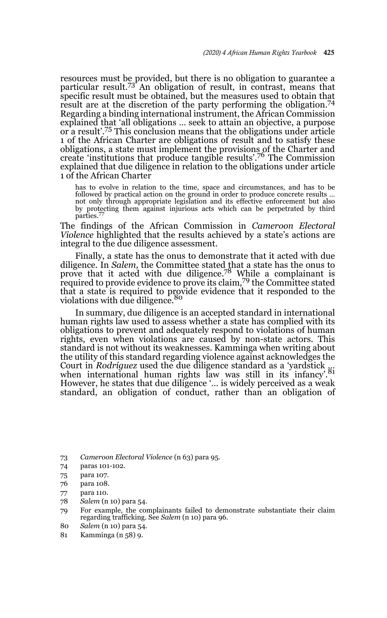resources must be provided, but there is no obligation to guarantee a particular result.73 An obligation of result, in contrast, means that specific result must be obtained, but the measures used to obtain that result are at the discretion of the party performing the obligation.74 Regarding a binding international instrument, the African Commission explained that 'all obligations … seek to attain an objective, a purpose or a result'.75 This conclusion means that the obligations under article 1 of the African Charter are obligations of result and to satisfy these obligations, a state must implement the provisions of the Charter and create 'institutions that produce tangible results'.76 The Commission explained that due diligence in relation to the obligations under article 1 of the African Charter

has to evolve in relation to the time, space and circumstances, and has to be followed by practical action on the ground in order to produce concrete results … not only through appropriate legislation and its effective enforcement but also by protecting them against injurious acts which can be perpetrated by third parties.77

The findings of the African Commission in *Cameroon Electoral Violence* highlighted that the results achieved by a state's actions are integral to the due diligence assessment.

Finally, a state has the onus to demonstrate that it acted with due diligence. In *Salem,* the Committee stated that a state has the onus to prove that it acted with due diligence.<sup>78</sup> While a complainant is required to provide evidence to prove its claim,79 the Committee stated that a state is required to provide evidence that it responded to the violations with due diligence.<sup>80</sup>

In summary, due diligence is an accepted standard in international human rights law used to assess whether a state has complied with its obligations to prevent and adequately respond to violations of human rights, even when violations are caused by non-state actors. This standard is not without its weaknesses. Kamminga when writing about the utility of this standard regarding violence against acknowledges the Court in *Rodríguez* used the due diligence standard as a 'yardstick <sub>8</sub>:<br>when international human rights law was still in its infancy'.<sup>81</sup> However, he states that due diligence '… is widely perceived as a weak standard, an obligation of conduct, rather than an obligation of

73 *Cameroon Electoral Violence* (n 63) para 95.

- 74 paras 101-102.
- 75 para 107.
- 76 para 108.
- 77 para 110.
- 78 *Salem* (n 10) para 54.
- 79 For example, the complainants failed to demonstrate substantiate their claim regarding trafficking. See *Salem* (n 10) para 96.
- 80 *Salem* (n 10) para 54.
- 81 Kamminga (n 58) 9.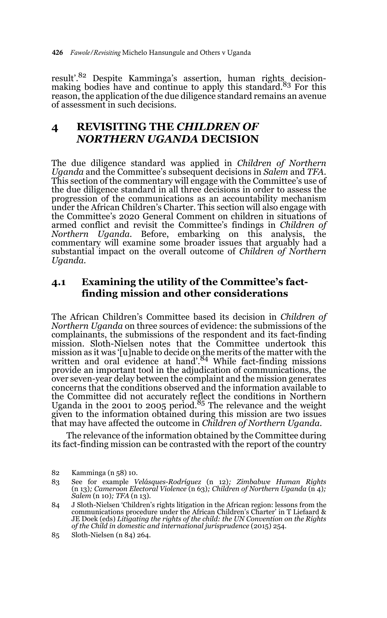result'.<sup>82</sup> Despite Kamminga's assertion, human rights decisionmaking bodies have and continue to apply this standard.<sup>83</sup> For this reason, the application of the due diligence standard remains an avenue of assessment in such decisions.

# **4 REVISITING THE** *CHILDREN OF NORTHERN UGANDA* **DECISION**

The due diligence standard was applied in *Children of Northern Uganda* and the Committee's subsequent decisions in *Salem* and *TFA.* This section of the commentary will engage with the Committee's use of the due diligence standard in all three decisions in order to assess the progression of the communications as an accountability mechanism under the African Children's Charter. This section will also engage with the Committee's 2020 General Comment on children in situations of armed conflict and revisit the Committee's findings in *Children of Northern Uganda.* Before, embarking on this analysis, the commentary will examine some broader issues that arguably had a substantial impact on the overall outcome of *Children of Northern Uganda.* 

# **4.1 Examining the utility of the Committee's factfinding mission and other considerations**

The African Children's Committee based its decision in *Children of Northern Uganda* on three sources of evidence: the submissions of the complainants, the submissions of the respondent and its fact-finding mission. Sloth-Nielsen notes that the Committee undertook this mission as it was '[u]nable to decide on the merits of the matter with the written and oral evidence at hand'.84 While fact-finding missions provide an important tool in the adjudication of communications, the over seven-year delay between the complaint and the mission generates concerns that the conditions observed and the information available to the Committee did not accurately reflect the conditions in Northern Uganda in the 2001 to 2005 period.85 The relevance and the weight given to the information obtained during this mission are two issues that may have affected the outcome in *Children of Northern Uganda.*

The relevance of the information obtained by the Committee during its fact-finding mission can be contrasted with the report of the country

<sup>82</sup> Kamminga (n 58) 10.

<sup>83</sup> See for example *Velásques-Rodríguez* (n 12)*; Zimbabwe Human Rights* (n 13)*; Cameroon Electoral Violence* (n 63)*; Children of Northern Uganda* (n 4)*; Salem* (n 10)*; TFA* (n 13)*.*

<sup>84</sup> J Sloth-Nielsen 'Children's rights litigation in the African region: lessons from the communications procedure under the African Children's Charter' in T Liefaard & JE Doek (eds) *Litigating the rights of the child: the UN Convention on the Rights of the Child in domestic and international jurisprudence* (2015) 254.

<sup>85</sup> Sloth-Nielsen (n 84) 264.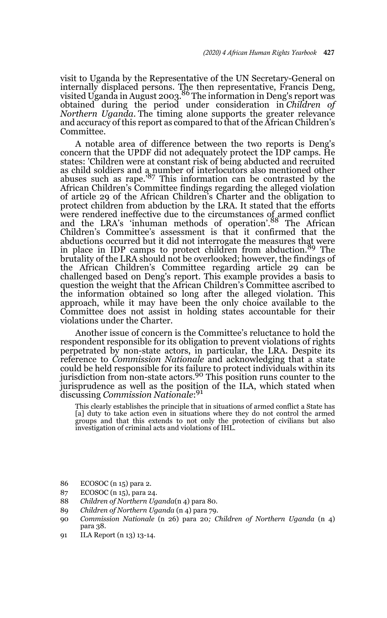visit to Uganda by the Representative of the UN Secretary-General on internally displaced persons. The then representative, Francis Deng,<br>visited Uganda in August 2003.<sup>86</sup> The information in Deng's report was obtained during the period under consideration in *Children of Northern Uganda.* The timing alone supports the greater relevance and accuracy of this report as compared to that of the African Children's Committee.

A notable area of difference between the two reports is Deng's concern that the UPDF did not adequately protect the IDP camps. He states: 'Children were at constant risk of being abducted and recruited as child soldiers and a number of interlocutors also mentioned other abuses such as rape.'87 This information can be contrasted by the African Children's Committee findings regarding the alleged violation of article 29 of the African Children's Charter and the obligation to protect children from abduction by the LRA. It stated that the efforts were rendered ineffective due to the circumstances of armed conflict<br>and the LRA's 'inhuman methods of operation'.<sup>88</sup> The African Children's Committee's assessment is that it confirmed that the abductions occurred but it did not interrogate the measures that were in place in IDP camps to protect children from abduction.<sup>89</sup> The brutality of the LRA should not be overlooked; however, the findings of the African Children's Committee regarding article 29 can be challenged based on Deng's report. This example provides a basis to question the weight that the African Children's Committee ascribed to the information obtained so long after the alleged violation. This approach, while it may have been the only choice available to the Committee does not assist in holding states accountable for their violations under the Charter.

Another issue of concern is the Committee's reluctance to hold the respondent responsible for its obligation to prevent violations of rights perpetrated by non-state actors, in particular, the LRA. Despite its reference to *Commission Nationale* and acknowledging that a state could be held responsible for its failure to protect individuals within its jurisdiction from non-state actors.<sup>90</sup> This position runs counter to the jurisprudence as well as the position of the ILA, which stated when discussing *Commission Nationale*: 91

This clearly establishes the principle that in situations of armed conflict a State has [a] duty to take action even in situations where they do not control the armed groups and that this extends to not only the protection of civilians but also investigation of criminal acts and violations of IHL.

- 86 ECOSOC (n 15) para 2.
- 87 ECOSOC (n 15), para 24.
- 88 *Children of Northern Uganda*(n 4) para 80.
- 89 *Children of Northern Uganda* (n 4) para 79.
- 90 *Commission Nationale* (n 26) para 20*; Children of Northern Uganda* (n 4) para 38.
- 91 ILA Report (n 13) 13-14.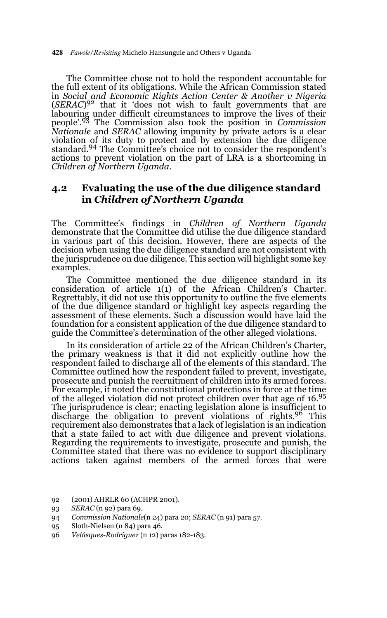The Committee chose not to hold the respondent accountable for the full extent of its obligations. While the African Commission stated in *Social and Economic Rights Action Center & Another v Nigeria* (*SERAC*) 92 that it 'does not wish to fault governments that are labouring under difficult circumstances to improve the lives of their people'.93 The Commission also took the position in *Commission Nationale* and *SERAC* allowing impunity by private actors is a clear violation of its duty to protect and by extension the due diligence standard.94 The Committee's choice not to consider the respondent's actions to prevent violation on the part of LRA is a shortcoming in *Children of Northern Uganda.*

# **4.2 Evaluating the use of the due diligence standard in** *Children of Northern Uganda*

The Committee's findings in *Children of Northern Uganda* demonstrate that the Committee did utilise the due diligence standard in various part of this decision. However, there are aspects of the decision when using the due diligence standard are not consistent with the jurisprudence on due diligence. This section will highlight some key examples.

The Committee mentioned the due diligence standard in its consideration of article 1(1) of the African Children's Charter. Regrettably, it did not use this opportunity to outline the five elements of the due diligence standard or highlight key aspects regarding the assessment of these elements. Such a discussion would have laid the foundation for a consistent application of the due diligence standard to guide the Committee's determination of the other alleged violations.

In its consideration of article 22 of the African Children's Charter, the primary weakness is that it did not explicitly outline how the respondent failed to discharge all of the elements of this standard. The Committee outlined how the respondent failed to prevent, investigate, prosecute and punish the recruitment of children into its armed forces. For example, it noted the constitutional protections in force at the time of the alleged violation did not protect children over that age of 16.95 The jurisprudence is clear; enacting legislation alone is insufficient to discharge the obligation to prevent violations of rights.96 This requirement also demonstrates that a lack of legislation is an indication that a state failed to act with due diligence and prevent violations. Regarding the requirements to investigate, prosecute and punish, the Committee stated that there was no evidence to support disciplinary actions taken against members of the armed forces that were

- 92 (2001) AHRLR 60 (ACHPR 2001).
- 93 *SERAC* (n 92) para 69.
- 94 *Commission Nationale*(n 24) para 20; *SERAC* (n 91) para 57.
- 95 Sloth-Nielsen (n 84) para 46.
- 96 *Velásques-Rodríguez* (n 12) paras 182-183.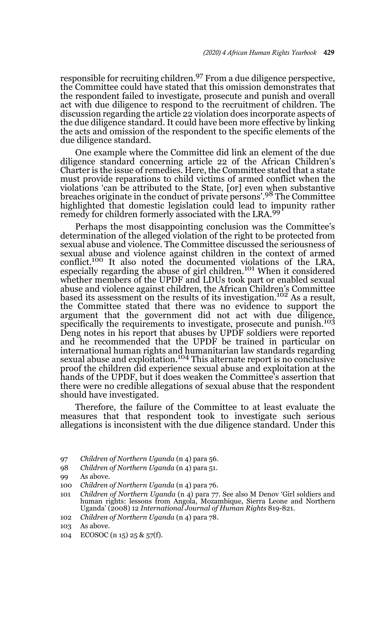responsible for recruiting children.97 From a due diligence perspective, the Committee could have stated that this omission demonstrates that the respondent failed to investigate, prosecute and punish and overall act with due diligence to respond to the recruitment of children. The discussion regarding the article 22 violation does incorporate aspects of the due diligence standard. It could have been more effective by linking the acts and omission of the respondent to the specific elements of the due diligence standard.

One example where the Committee did link an element of the due diligence standard concerning article 22 of the African Children's Charter is the issue of remedies. Here, the Committee stated that a state must provide reparations to child victims of armed conflict when the violations 'can be attributed to the State, [or] even when substantive breaches originate in the conduct of private persons'.98 The Committee highlighted that domestic legislation could lead to impunity rather<br>remedy for children formerly associated with the LRA.<sup>99</sup>

Perhaps the most disappointing conclusion was the Committee's determination of the alleged violation of the right to be protected from sexual abuse and violence. The Committee discussed the seriousness of sexual abuse and violence against children in the context of armed conflict.100 It also noted the documented violations of the LRA, especially regarding the abuse of girl children.<sup>101</sup> When it considered whether members of the UPDF and LDUs took part or enabled sexual abuse and violence against children, the African Children's Committee based its assessment on the results of its investigation.102 As a result, the Committee stated that there was no evidence to support the argument that the government did not act with due diligence, specifically the requirements to investigate, prosecute and punish.<sup>103</sup> Deng notes in his report that abuses by UPDF soldiers were reported and he recommended that the UPDF be trained in particular on international human rights and humanitarian law standards regarding sexual abuse and exploitation.<sup>104</sup> This alternate report is no conclusive proof the children did experience sexual abuse and exploitation at the hands of the UPDF, but it does weaken the Committee's assertion that there were no credible allegations of sexual abuse that the respondent should have investigated.

Therefore, the failure of the Committee to at least evaluate the measures that that respondent took to investigate such serious allegations is inconsistent with the due diligence standard. Under this

97 *Children of Northern Uganda* (n 4) para 56.

102 *Children of Northern Uganda* (n 4) para 78.

104 ECOSOC (n 15) 25 & 57(f).

<sup>98</sup> *Children of Northern Uganda* (n 4) para 51.

<sup>99</sup> As above.

<sup>100</sup> *Children of Northern Uganda* (n 4) para 76.

<sup>101</sup> *Children of Northern Uganda* (n 4) para 77. See also M Denov 'Girl soldiers and human rights: lessons from Angola, Mozambique, Sierra Leone and Northern Uganda' (2008) 12 *International Journal of Human Rights* 819-821.

<sup>103</sup> As above.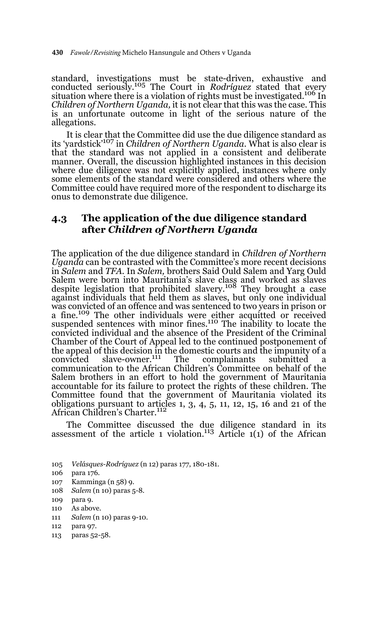430 *Fawole/Revisiting* Michelo Hansungule and Others v Uganda

standard, investigations must be state-driven, exhaustive and conducted seriously.105 The Court in *Rodríguez* stated that every situation where there is a violation of rights must be investigated.<sup>106</sup> In *Children of Northern Uganda,* it is not clear that this was the case. This is an unfortunate outcome in light of the serious nature of the allegations.

It is clear that the Committee did use the due diligence standard as its 'yardstick'107 in *Children of Northern Uganda.* What is also clear is that the standard was not applied in a consistent and deliberate manner. Overall, the discussion highlighted instances in this decision where due diligence was not explicitly applied, instances where only some elements of the standard were considered and others where the Committee could have required more of the respondent to discharge its onus to demonstrate due diligence.

## **4.3 The application of the due diligence standard after** *Children of Northern Uganda*

The application of the due diligence standard in *Children of Northern Uganda* can be contrasted with the Committee's more recent decisions in *Salem* and *TFA.* In *Salem,* brothers Said Ould Salem and Yarg Ould Salem were born into Mauritania's slave class and worked as slaves despite legislation that prohibited slavery.108 They brought a case against individuals that held them as slaves, but only one individual was convicted of an offence and was sentenced to two years in prison or a fine.<sup>109</sup> The other individuals were either acquitted or received suspended sentences with minor fines.<sup>110</sup> The inability to locate the convicted individual and the absence of the President of the Criminal Chamber of the Court of Appeal led to the continued postponement of the appeal of this decision in the domestic courts and the impunity of a convicted slave-owner.111 The complainants submitted a communication to the African Children's Committee on behalf of the Salem brothers in an effort to hold the government of Mauritania accountable for its failure to protect the rights of these children. The Committee found that the government of Mauritania violated its obligations pursuant to articles 1, 3, 4, 5, 11, 12, 15, 16 and 21 of the African Children's Charter.112

The Committee discussed the due diligence standard in its assessment of the article 1 violation.<sup>113</sup> Article 1(1) of the African

105 *Velásques-Rodríguez* (n 12) paras 177, 180-181.

- 107 Kamminga (n 58) 9.
- 108 *Salem* (n 10) paras 5-8.
- 109 para 9.
- 110 As above.
- 111 *Salem* (n 10) paras 9-10.
- 112 para 97.
- 113 paras 52-58.

<sup>106</sup> para 176.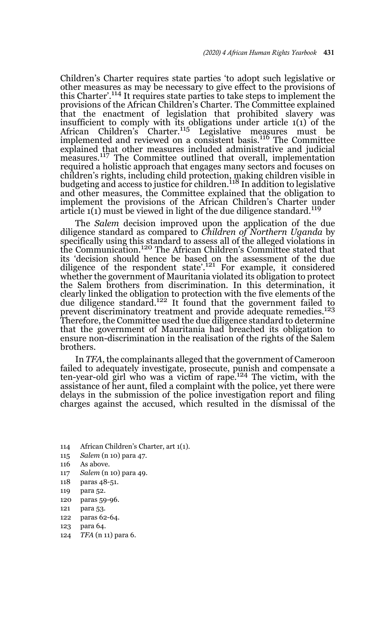Children's Charter requires state parties 'to adopt such legislative or other measures as may be necessary to give effect to the provisions of this Charter'.114 It requires state parties to take steps to implement the provisions of the African Children's Charter. The Committee explained that the enactment of legislation that prohibited slavery was insufficient to comply with its obligations under article 1(1) of the African Children's Charter.<sup>115</sup> Legislative measures must be implemented and reviewed on a consistent basis.116 The Committee explained that other measures included administrative and judicial measures.<sup>117</sup> The Committee outlined that overall, implementation required a holistic approach that engages many sectors and focuses on children's rights, including child protection, making children visible in<br>budgeting and access to justice for children.<sup>118</sup> In addition to legislative and other measures, the Committee explained that the obligation to implement the provisions of the African Children's Charter under article  $1(1)$  must be viewed in light of the due diligence standard.<sup>119</sup>

The *Salem* decision improved upon the application of the due diligence standard as compared to *Children of Northern Uganda* by specifically using this standard to assess all of the alleged violations in the Communication.120 The African Children's Committee stated that its 'decision should hence be based on the assessment of the due diligence of the respondent state'.121 For example, it considered whether the government of Mauritania violated its obligation to protect the Salem brothers from discrimination. In this determination, it clearly linked the obligation to protection with the five elements of the due diligence standard.122 It found that the government failed to prevent discriminatory treatment and provide adequate remedies.<sup>123</sup> Therefore, the Committee used the due diligence standard to determine that the government of Mauritania had breached its obligation to ensure non-discrimination in the realisation of the rights of the Salem brothers.

In *TFA*, the complainants alleged that the government of Cameroon failed to adequately investigate, prosecute, punish and compensate a<br>ten-year-old girl who was a victim of rape.<sup>124</sup> The victim, with the assistance of her aunt, filed a complaint with the police, yet there were delays in the submission of the police investigation report and filing charges against the accused, which resulted in the dismissal of the

- 114 African Children's Charter, art 1(1).
- 115 *Salem* (n 10) para 47.
- 116 As above.
- 117 *Salem* (n 10) para 49.
- 118 paras 48-51.
- 119 para 52.
- 120 paras 59-96.
- 121 para 53.
- 122 paras 62-64.
- 123 para 64.
- 124 *TFA* (n 11) para 6.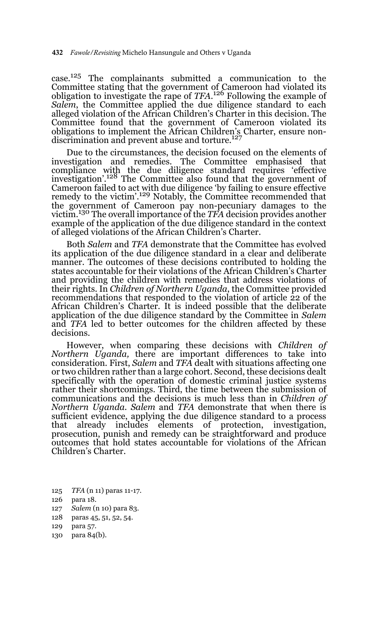case.125 The complainants submitted a communication to the Committee stating that the government of Cameroon had violated its obligation to investigate the rape of *TFA*. 126 Following the example of *Salem*, the Committee applied the due diligence standard to each alleged violation of the African Children's Charter in this decision. The Committee found that the government of Cameroon violated its obligations to implement the African Children's Charter, ensure nondiscrimination and prevent abuse and torture.127

Due to the circumstances, the decision focused on the elements of investigation and remedies. The Committee emphasised that compliance with the due diligence standard requires 'effective investigation'.128 The Committee also found that the government of Cameroon failed to act with due diligence 'by failing to ensure effective remedy to the victim'.129 Notably, the Committee recommended that the government of Cameroon pay non-pecuniary damages to the victim.130 The overall importance of the *TFA* decision provides another example of the application of the due diligence standard in the context of alleged violations of the African Children's Charter.

Both *Salem* and *TFA* demonstrate that the Committee has evolved its application of the due diligence standard in a clear and deliberate manner. The outcomes of these decisions contributed to holding the states accountable for their violations of the African Children's Charter and providing the children with remedies that address violations of their rights. In *Children of Northern Uganda*, the Committee provided recommendations that responded to the violation of article 22 of the African Children's Charter. It is indeed possible that the deliberate application of the due diligence standard by the Committee in *Salem* and *TFA* led to better outcomes for the children affected by these decisions.

However, when comparing these decisions with *Children of Northern Uganda,* there are important differences to take into consideration. First, *Salem* and *TFA* dealt with situations affecting one or two children rather than a large cohort. Second, these decisions dealt specifically with the operation of domestic criminal justice systems rather their shortcomings. Third, the time between the submission of communications and the decisions is much less than in *Children of Northern Uganda. Salem* and *TFA* demonstrate that when there is sufficient evidence, applying the due diligence standard to a process that already includes elements of protection, investigation, prosecution, punish and remedy can be straightforward and produce outcomes that hold states accountable for violations of the African Children's Charter.

- 125 *TFA* (n 11) paras 11-17.
- 126 para 18.
- 127 *Salem* (n 10) para 83.
- 128 paras 45, 51, 52, 54.
- 129 para 57.
- 130 para 84(b).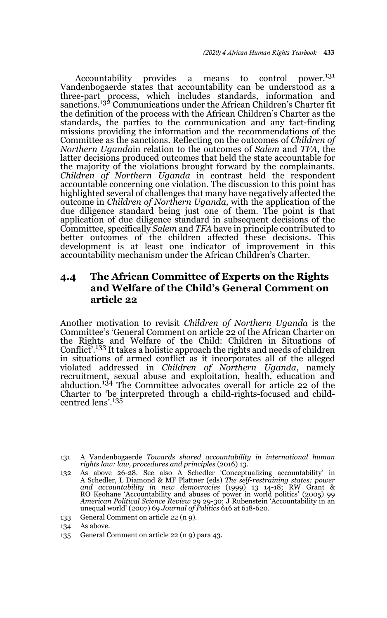Accountability provides a means to control power.<sup>131</sup> Vandenbogaerde states that accountability can be understood as a three-part process, which includes standards, information and sanctions.132 Communications under the African Children's Charter fit the definition of the process with the African Children's Charter as the standards, the parties to the communication and any fact-finding missions providing the information and the recommendations of the Committee as the sanctions. Reflecting on the outcomes of *Children of Northern Uganda*in relation to the outcomes of *Salem* and *TFA*, the latter decisions produced outcomes that held the state accountable for the majority of the violations brought forward by the complainants. *Children of Northern Uganda* in contrast held the respondent accountable concerning one violation. The discussion to this point has highlighted several of challenges that many have negatively affected the outcome in *Children of Northern Uganda,* with the application of the due diligence standard being just one of them. The point is that application of due diligence standard in subsequent decisions of the Committee, specifically *Salem* and *TFA* have in principle contributed to better outcomes of the children affected these decisions. This development is at least one indicator of improvement in this accountability mechanism under the African Children's Charter.

# **4.4 The African Committee of Experts on the Rights and Welfare of the Child's General Comment on article 22**

Another motivation to revisit *Children of Northern Uganda* is the Committee's 'General Comment on article 22 of the African Charter on the Rights and Welfare of the Child: Children in Situations of Conflict'.133 It takes a holistic approach the rights and needs of children in situations of armed conflict as it incorporates all of the alleged violated addressed in *Children of Northern Uganda*, namely recruitment, sexual abuse and exploitation, health, education and abduction.134 The Committee advocates overall for article 22 of the Charter to 'be interpreted through a child-rights-focused and childcentred lens'.<sup>135</sup>

<sup>131</sup> A Vandenbogaerde *Towards shared accountability in international human rights law: law, procedures and principles* (2016) 13.

<sup>132</sup> As above 26-28. See also A Schedler 'Conceptualizing accountability' in A Schedler, L Diamond & MF Plattner (eds) *The self-restraining states: power* and accountability in new democracies (1999) 13 14-18; RW Grant &<br>RO Keohane 'Accountability and abuses of power in world politics' (2005) 99<br>*American Political Science Review* 29 29-30; J Rubenstein 'Accountability in an unequal world' (2007) 69 *Journal of Politics* 616 at 618-620.

<sup>133</sup> General Comment on article 22 (n 9).

<sup>134</sup> As above.

<sup>135</sup> General Comment on article 22 (n 9) para 43.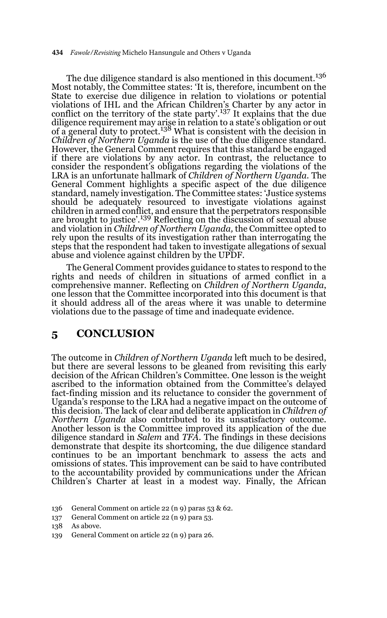#### 434 *Fawole/Revisiting* Michelo Hansungule and Others v Uganda

The due diligence standard is also mentioned in this document.<sup>136</sup> Most notably, the Committee states: 'It is, therefore, incumbent on the State to exercise due diligence in relation to violations or potential violations of IHL and the African Children's Charter by any actor in conflict on the territory of the state party'.<sup>137</sup> It explains that the due diligence requirement may arise in relation to a state's obligation or out of a general duty to protect.<sup>138</sup> What is consistent with the decision in *Children of Northern Uganda* is the use of the due diligence standard. However, the General Comment requires that this standard be engaged if there are violations by any actor. In contrast, the reluctance to consider the respondent's obligations regarding the violations of the LRA is an unfortunate hallmark of *Children of Northern Uganda.* The General Comment highlights a specific aspect of the due diligence standard, namely investigation. The Committee states: 'Justice systems should be adequately resourced to investigate violations against children in armed conflict, and ensure that the perpetrators responsible are brought to justice'.<sup>139</sup> Reflecting on the discussion of sexual abuse and violation in *Children of Northern Uganda,* the Committee opted to rely upon the results of its investigation rather than interrogating the steps that the respondent had taken to investigate allegations of sexual abuse and violence against children by the UPDF.

The General Comment provides guidance to states to respond to the rights and needs of children in situations of armed conflict in a comprehensive manner. Reflecting on *Children of Northern Uganda*, one lesson that the Committee incorporated into this document is that it should address all of the areas where it was unable to determine violations due to the passage of time and inadequate evidence.

# **5 CONCLUSION**

The outcome in *Children of Northern Uganda* left much to be desired, but there are several lessons to be gleaned from revisiting this early decision of the African Children's Committee. One lesson is the weight ascribed to the information obtained from the Committee's delayed fact-finding mission and its reluctance to consider the government of Uganda's response to the LRA had a negative impact on the outcome of this decision. The lack of clear and deliberate application in *Children of Northern Uganda* also contributed to its unsatisfactory outcome. Another lesson is the Committee improved its application of the due diligence standard in *Salem* and *TFA.* The findings in these decisions demonstrate that despite its shortcoming, the due diligence standard continues to be an important benchmark to assess the acts and omissions of states. This improvement can be said to have contributed to the accountability provided by communications under the African Children's Charter at least in a modest way. Finally, the African

137 General Comment on article 22 (n 9) para 53.

139 General Comment on article 22 (n 9) para 26.

<sup>136</sup> General Comment on article 22 (n 9) paras 53 & 62.

<sup>138</sup> As above.